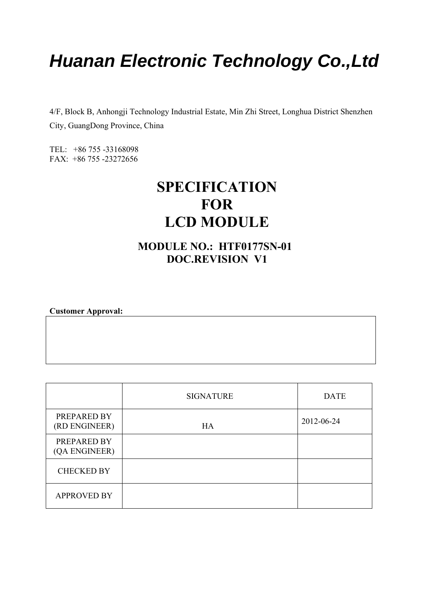## *Huanan Electronic Technology Co.,Ltd*

4/F, Block B, Anhongji Technology Industrial Estate, Min Zhi Street, Longhua District Shenzhen City, GuangDong Province, China

TEL: +86 755 -33168098 FAX: +86 755 -23272656

## **SPECIFICATION FOR LCD MODULE**

#### **MODULE NO.: HTF0177SN-01 DOC.REVISION V1**

**Customer Approval:** 

|                              | <b>SIGNATURE</b> | <b>DATE</b> |
|------------------------------|------------------|-------------|
| PREPARED BY<br>(RD ENGINEER) | HA               | 2012-06-24  |
| PREPARED BY<br>(QA ENGINEER) |                  |             |
| <b>CHECKED BY</b>            |                  |             |
| <b>APPROVED BY</b>           |                  |             |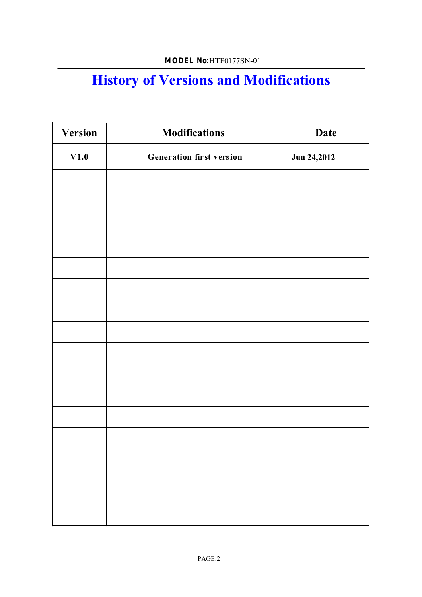## **History of Versions and Modifications**

| <b>Version</b> | <b>Modifications</b>            | <b>Date</b> |
|----------------|---------------------------------|-------------|
| V1.0           | <b>Generation first version</b> | Jun 24,2012 |
|                |                                 |             |
|                |                                 |             |
|                |                                 |             |
|                |                                 |             |
|                |                                 |             |
|                |                                 |             |
|                |                                 |             |
|                |                                 |             |
|                |                                 |             |
|                |                                 |             |
|                |                                 |             |
|                |                                 |             |
|                |                                 |             |
|                |                                 |             |
|                |                                 |             |
|                |                                 |             |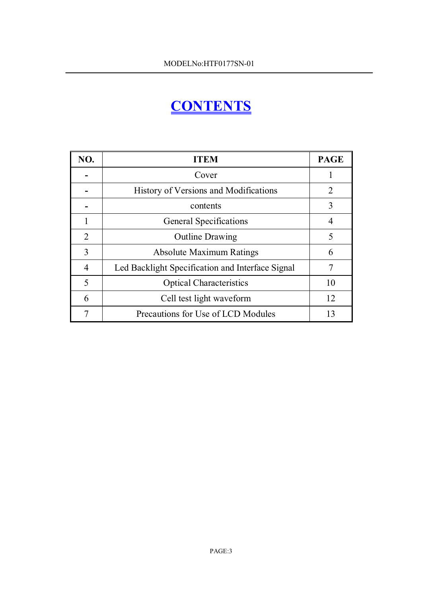## **CONTENTS**

| NO. | <b>ITEM</b>                                      | <b>PAGE</b> |
|-----|--------------------------------------------------|-------------|
|     | Cover                                            |             |
|     | History of Versions and Modifications            | 2           |
|     | contents                                         | 3           |
|     | <b>General Specifications</b>                    | 4           |
| 2   | <b>Outline Drawing</b>                           | 5           |
| 3   | <b>Absolute Maximum Ratings</b>                  | 6           |
| 4   | Led Backlight Specification and Interface Signal |             |
| 5   | <b>Optical Characteristics</b>                   | 10          |
| 6   | Cell test light waveform                         | 12          |
|     | Precautions for Use of LCD Modules               | 13          |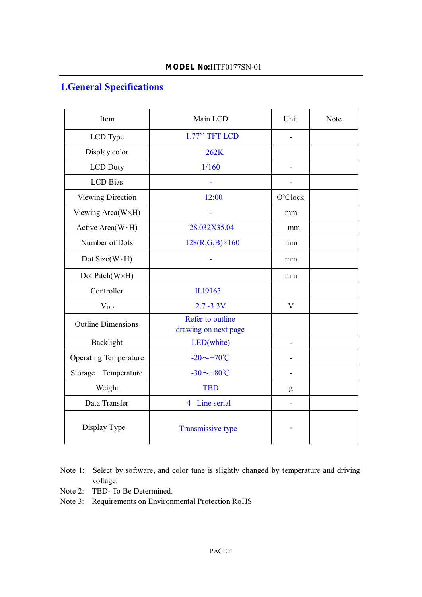#### **1.General Specifications**

| Item                         | Main LCD                                 | Unit                     | Note |
|------------------------------|------------------------------------------|--------------------------|------|
| LCD Type                     | 1.77" TFT LCD                            | $\overline{\phantom{0}}$ |      |
| Display color                | 262K                                     |                          |      |
| LCD Duty                     | 1/160                                    |                          |      |
| <b>LCD</b> Bias              |                                          |                          |      |
| Viewing Direction            | 12:00                                    | O'Clock                  |      |
| Viewing Area(W×H)            |                                          | mm                       |      |
| Active Area(W×H)             | 28.032X35.04                             | mm                       |      |
| Number of Dots               | $128(R,G,B) \times 160$                  | mm                       |      |
| Dot Size(W×H)                |                                          | mm                       |      |
| Dot Pitch(W×H)               |                                          | mm                       |      |
| Controller                   | ILI9163                                  |                          |      |
| $V_{DD}$                     | $2.7 - 3.3V$                             | $\mathbf{V}$             |      |
| <b>Outline Dimensions</b>    | Refer to outline<br>drawing on next page |                          |      |
| Backlight                    | LED(white)                               |                          |      |
| <b>Operating Temperature</b> | $-20 \sim +70^{\circ}$ C                 |                          |      |
| Storage<br>Temperature       | $-30 \sim +80^{\circ}C$                  |                          |      |
| Weight                       | <b>TBD</b>                               | g                        |      |
| Data Transfer                | Line serial<br>$\overline{4}$            |                          |      |
| Display Type                 | Transmissive type                        |                          |      |

- Note 1: Select by software, and color tune is slightly changed by temperature and driving voltage.
- Note 2: TBD- To Be Determined.
- Note 3: Requirements on Environmental Protection:RoHS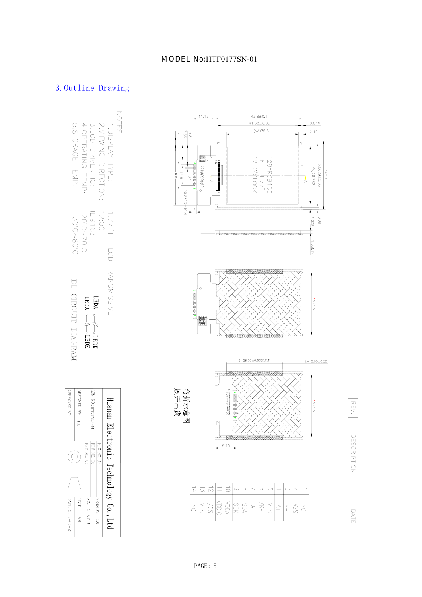#### 3. Outline Drawing

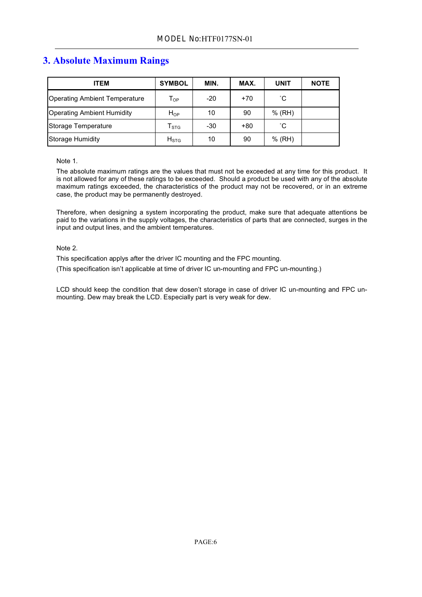#### **3. Absolute Maximum Raings**

| ITEM                              | <b>SYMBOL</b>               | MIN. | MAX.  | <b>UNIT</b> | <b>NOTE</b> |
|-----------------------------------|-----------------------------|------|-------|-------------|-------------|
| Operating Ambient Temperature     | $\mathsf{T}_{\mathsf{OP}}$  | -20  | $+70$ | °С          |             |
| <b>Operating Ambient Humidity</b> | $H_{OP}$                    | 10   | 90    | % (RH)      |             |
| Storage Temperature               | $\mathsf{T}_{\texttt{STG}}$ | -30  | $+80$ | °С          |             |
| Storage Humidity                  | $H_{\rm STG}$               | 10   | 90    | $%$ (RH)    |             |

#### Note 1.

The absolute maximum ratings are the values that must not be exceeded at any time for this product. It is not allowed for any of these ratings to be exceeded. Should a product be used with any of the absolute maximum ratings exceeded, the characteristics of the product may not be recovered, or in an extreme case, the product may be permanently destroyed.

Therefore, when designing a system incorporating the product, make sure that adequate attentions be paid to the variations in the supply voltages, the characteristics of parts that are connected, surges in the input and output lines, and the ambient temperatures.

#### Note 2.

This specification applys after the driver IC mounting and the FPC mounting.

(This specification isn't applicable at time of driver IC un-mounting and FPC un-mounting.)

LCD should keep the condition that dew dosen't storage in case of driver IC un-mounting and FPC unmounting. Dew may break the LCD. Especially part is very weak for dew.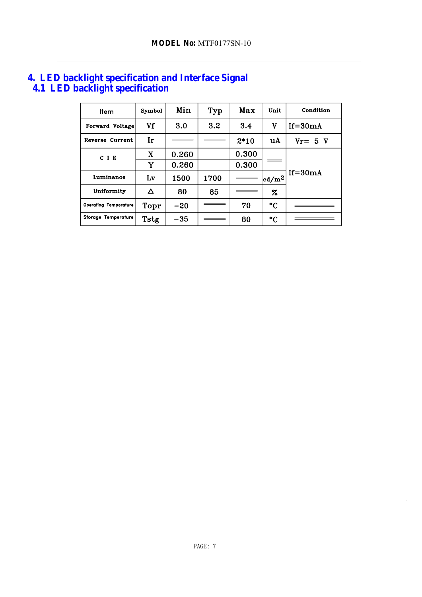| 4. LED backlight specification and Interface Signal |  |
|-----------------------------------------------------|--|
| 4.1 LED backlight specification                     |  |

| Item                         | Symbol | Min   | Typ              | Max    | Unit         | Condition   |  |
|------------------------------|--------|-------|------------------|--------|--------------|-------------|--|
| Forward Voltage              | Vf     | 3.0   | 3.2 <sub>2</sub> | 3.4    | v            | $If = 30mA$ |  |
| Reverse Current              | Ir     |       |                  | $2*10$ | uA           | $Vr = 5 V$  |  |
| CIE                          | X      | 0.260 |                  | 0.300  |              |             |  |
|                              | Y      | 0.260 |                  | 0.300  |              |             |  |
| Luminance                    | Lv     | 1500  | 1700             |        | $ cd/m^2 $   | $If = 30mA$ |  |
| Uniformity                   | Δ      | 80    | 85               |        | $\%$         |             |  |
| <b>Operating Temperature</b> | Topr   | $-20$ |                  | 70     | °C           |             |  |
| Storage Temperature          | Tstg   | -35   |                  | 80     | $^{\circ}$ C |             |  |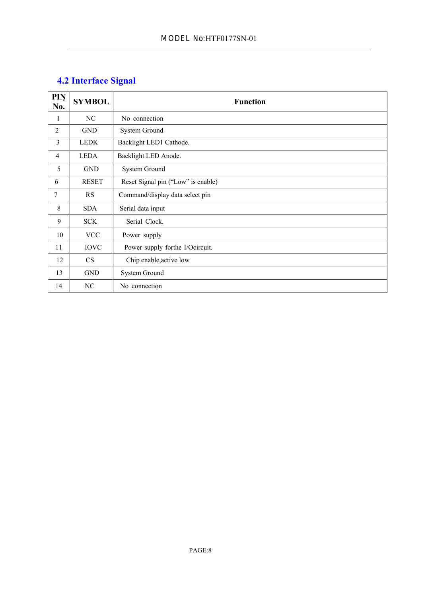#### **4.2 Interface Signal**

| PIN<br>No.     | <b>SYMBOL</b> | <b>Function</b>                    |
|----------------|---------------|------------------------------------|
| 1              | NC            | No connection                      |
| 2              | <b>GND</b>    | System Ground                      |
| 3              | <b>LEDK</b>   | Backlight LED1 Cathode.            |
| $\overline{4}$ | <b>LEDA</b>   | Backlight LED Anode.               |
| 5              | <b>GND</b>    | System Ground                      |
| 6              | <b>RESET</b>  | Reset Signal pin ("Low" is enable) |
| 7              | <b>RS</b>     | Command/display data select pin    |
| 8              | <b>SDA</b>    | Serial data input                  |
| 9              | <b>SCK</b>    | Serial Clock.                      |
| 10             | <b>VCC</b>    | Power supply                       |
| 11             | <b>IOVC</b>   | Power supply forthe I/Ocircuit.    |
| 12             | <b>CS</b>     | Chip enable, active low            |
| 13             | <b>GND</b>    | <b>System Ground</b>               |
| 14             | NC            | No connection                      |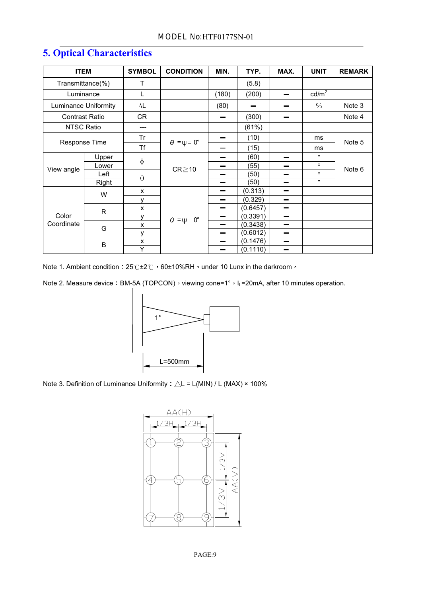| <b>ITEM</b>           |              | <b>SYMBOL</b> | <b>CONDITION</b>            | MIN.                     | TYP.     | MAX.                     | <b>UNIT</b>     | <b>REMARK</b> |
|-----------------------|--------------|---------------|-----------------------------|--------------------------|----------|--------------------------|-----------------|---------------|
| Transmittance(%)      |              | т             |                             |                          | (5.8)    |                          |                 |               |
| Luminance             |              | L             |                             | (180)                    | (200)    |                          | $\text{cd/m}^2$ |               |
| Luminance Uniformity  |              | $\Delta L$    |                             | (80)                     |          |                          | $\frac{0}{0}$   | Note 3        |
| <b>Contrast Ratio</b> |              | CR            |                             | $\overline{\phantom{a}}$ | (300)    |                          |                 | Note 4        |
| <b>NTSC Ratio</b>     |              | ---           |                             |                          | (61%)    |                          |                 |               |
| Response Time         |              | Tr            |                             |                          | (10)     |                          | ms              | Note 5        |
|                       |              | Τf            | $\theta = \psi = 0^{\circ}$ |                          | (15)     |                          | ms              |               |
|                       | Upper        | $\phi$        | $CR \ge 10$                 |                          | (60)     | -                        | $\circ$         | Note 6        |
| View angle            | Lower        |               |                             |                          | (55)     | -                        | $\circ$         |               |
|                       | Left         | $\theta$      |                             |                          | (50)     | —                        | $\circ$         |               |
|                       | Right        |               |                             | $\overline{\phantom{0}}$ | (50)     | -                        | $\circ$         |               |
|                       | W            | X             |                             |                          | (0.313)  | -                        |                 |               |
|                       |              | v             |                             | -                        | (0.329)  | -                        |                 |               |
|                       | $\mathsf{R}$ | X             |                             | -                        | (0.6457) | —                        |                 |               |
| Color<br>Coordinate   |              | y             | $\theta = \psi = 0^{\circ}$ |                          | (0.3391) | $\overline{\phantom{0}}$ |                 |               |
|                       | G            | X             |                             | $\equiv$                 | (0.3438) | -                        |                 |               |
|                       |              | y             |                             | $\overline{\phantom{a}}$ | (0.6012) | -                        |                 |               |
|                       | B            | x             |                             |                          | (0.1476) | -                        |                 |               |
|                       |              | Υ             |                             |                          | (0.1110) | -                        |                 |               |

### **5. Optical Characteristics**

Note 1. Ambient condition  $:25^{\circ}\text{C}$  +2 $^{\circ}\text{C}$   $\cdot$  60±10%RH  $\cdot$  under 10 Lunx in the darkroom  $^{\circ}$ 

Note 2. Measure device : BM-5A (TOPCON)  $\cdot$  viewing cone=1°  $\cdot$  I<sub>L</sub>=20mA, after 10 minutes operation.



Note 3. Definition of Luminance Uniformity :  $\triangle$ L = L(MIN) / L (MAX)  $\times$  100%

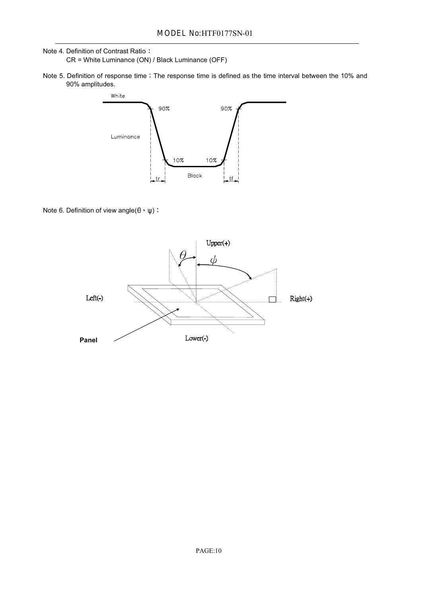#### Note 4. Definition of Contrast Ratio CR = White Luminance (ON) / Black Luminance (OFF)

Note 5. Definition of response time : The response time is defined as the time interval between the 10% and 90% amplitudes.



Note 6. Definition of view angle( $\theta$ ,  $\psi$ ):

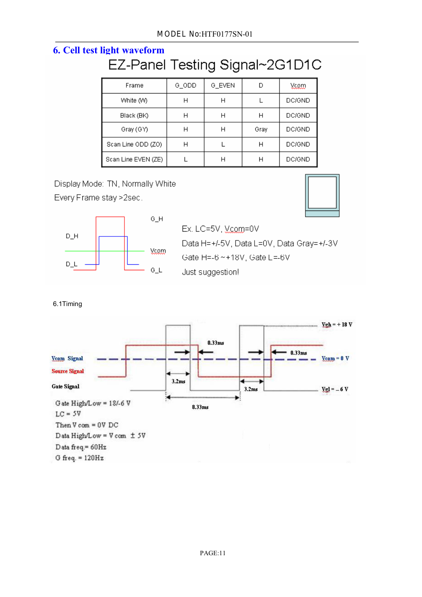# **6. Cell test light waveform**

| Frame               | G_ODD | G_EVEN |      | Yaam          |
|---------------------|-------|--------|------|---------------|
| White (W)           | н     | Н      |      | DC/GND        |
| Black (BK)          | н     | Н      |      | DC/GND        |
| Gray (GY)           | н     | Н      | Gray | <b>DC/GND</b> |
| Scan Line ODD (ZO)  | Н     |        |      | <b>DC/GND</b> |
| Scan Line EVEN (ZE) |       |        |      | <b>DC/GND</b> |

Display Mode: TN, Normally White





| $Ex.$ LC=5V, $y_{\rm QQ}$ m=0V           |
|------------------------------------------|
| Data H=+/-5V, Data L=0V, Data Gray=+/-3V |
| Gate H=-6 ~ + 18V, Gate L =- 6V          |
| Just suggestion!                         |

6.1Timing

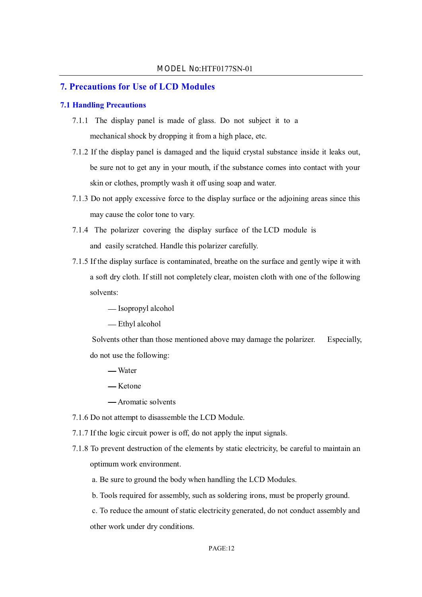#### **7. Precautions for Use of LCD Modules**

#### **7.1 Handling Precautions**

- 7.1.1 The display panel is made of glass. Do not subject it to a mechanical shock by dropping it from a high place, etc.
- 7.1.2 If the display panel is damaged and the liquid crystal substance inside it leaks out, be sure not to get any in your mouth, if the substance comes into contact with your skin or clothes, promptly wash it off using soap and water.
- 7.1.3 Do not apply excessive force to the display surface or the adjoining areas since this may cause the color tone to vary.
- 7.1.4 The polarizer covering the display surface of the LCD module is and easily scratched. Handle this polarizer carefully.
- 7.1.5 If the display surface is contaminated, breathe on the surface and gently wipe it with a soft dry cloth. If still not completely clear, moisten cloth with one of the following solvents:

- Isopropyl alcohol

Ethyl alcohol

Solvents other than those mentioned above may damage the polarizer. Especially, do not use the following:

- Water
- Ketone
- Aromatic solvents
- 7.1.6 Do not attempt to disassemble the LCD Module.
- 7.1.7 If the logic circuit power is off, do not apply the input signals.
- 7.1.8 To prevent destruction of the elements by static electricity, be careful to maintain an optimum work environment.
	- a. Be sure to ground the body when handling the LCD Modules.

b. Tools required for assembly, such as soldering irons, must be properly ground.

c. To reduce the amount of static electricity generated, do not conduct assembly and other work under dry conditions.